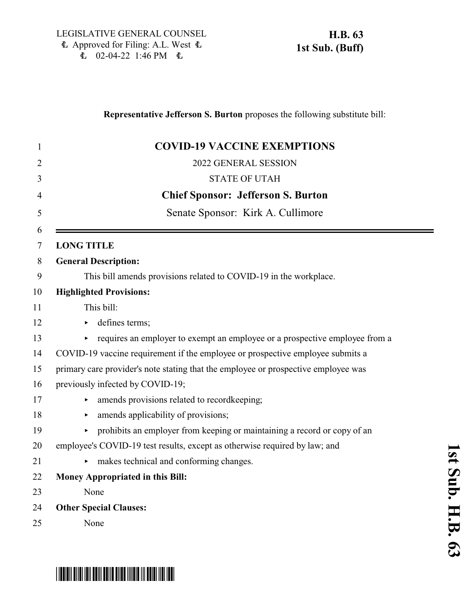## **Representative Jefferson S. Burton** proposes the following substitute bill: 1 **COVID-19 VACCINE EXEMPTIONS** 2 2022 GENERAL SESSION 3 STATE OF UTAH 4 **Chief Sponsor: Jefferson S. Burton** 5 Senate Sponsor: Kirk A. Cullimore 6 7 **LONG TITLE** 8 **General Description:** 9 This bill amends provisions related to COVID-19 in the workplace. 10 **Highlighted Provisions:** 11 This bill: 12 b defines terms; 13 requires an employer to exempt an employee or a prospective employee from a 14 COVID-19 vaccine requirement if the employee or prospective employee submits a 15 primary care provider's note stating that the employee or prospective employee was 16 previously infected by COVID-19; 17 **According Figure 2.1** amends provisions related to recordkeeping; 18 • amends applicability of provisions; 19 < prohibits an employer from keeping or maintaining a record or copy of an 20 employee's COVID-19 test results, except as otherwise required by law; and 21 • makes technical and conforming changes. 22 **Money Appropriated in this Bill:** 23 None 24 **Other Special Clauses:** 25 None

# \*HB0063S01\*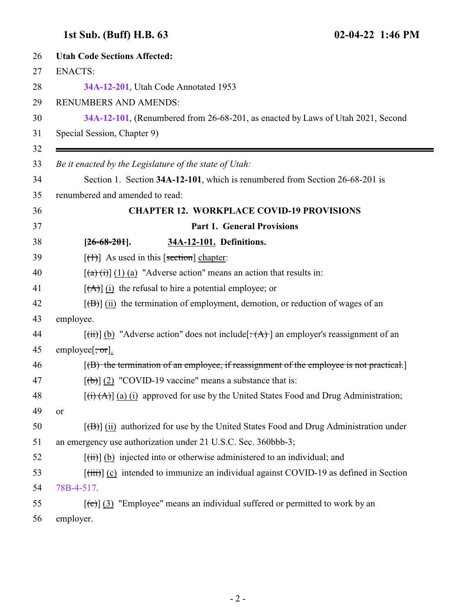### <span id="page-1-0"></span>**1st Sub. (Buff) H.B. 63 02-04-22 1:46 PM**

| 26 | <b>Utah Code Sections Affected:</b>                                                                                     |
|----|-------------------------------------------------------------------------------------------------------------------------|
| 27 | <b>ENACTS:</b>                                                                                                          |
| 28 | 34A-12-201, Utah Code Annotated 1953                                                                                    |
| 29 | <b>RENUMBERS AND AMENDS:</b>                                                                                            |
| 30 | 34A-12-101, (Renumbered from 26-68-201, as enacted by Laws of Utah 2021, Second                                         |
| 31 | Special Session, Chapter 9)                                                                                             |
| 32 |                                                                                                                         |
| 33 | Be it enacted by the Legislature of the state of Utah:                                                                  |
| 34 | Section 1. Section 34A-12-101, which is renumbered from Section 26-68-201 is                                            |
| 35 | renumbered and amended to read:                                                                                         |
| 36 | <b>CHAPTER 12. WORKPLACE COVID-19 PROVISIONS</b>                                                                        |
| 37 | <b>Part 1. General Provisions</b>                                                                                       |
| 38 | $[26-68-201]$ .<br>34A-12-101. Definitions.                                                                             |
| 39 | $[\text{+}]$ As used in this [section] chapter:                                                                         |
| 40 | $\left[\frac{a}{b}\right]$ (1) (a) "Adverse action" means an action that results in:                                    |
| 41 | $[\vec{A}]$ (i) the refusal to hire a potential employee; or                                                            |
| 42 | $[\overline{(\mathbf{B})}]$ (ii) the termination of employment, demotion, or reduction of wages of an                   |
| 43 | employee.                                                                                                               |
| 44 | $[\overrightarrow{tii}]$ (b) "Adverse action" does not include $[\overrightarrow{tA}]$ an employer's reassignment of an |
| 45 | employee $\left[\frac{1}{2}, \frac{1}{2}, \frac{1}{2}\right]$ .                                                         |
| 46 | $[$ (B) the termination of an employee, if reassignment of the employee is not practical.                               |
| 47 | $[\text{(+)}]$ (2) "COVID-19 vaccine" means a substance that is:                                                        |
| 48 | $[(\overrightarrow{t})^{\dagger}(A)]$ (a) (i) approved for use by the United States Food and Drug Administration;       |
| 49 | <sub>or</sub>                                                                                                           |
| 50 | $[f(H)]$ (ii) authorized for use by the United States Food and Drug Administration under                                |
| 51 | an emergency use authorization under 21 U.S.C. Sec. 360bbb-3;                                                           |
| 52 | $[\overrightarrow{tii}]$ (b) injected into or otherwise administered to an individual; and                              |
| 53 | $[\overrightarrow{tiii}]$ (c) intended to immunize an individual against COVID-19 as defined in Section                 |
| 54 | 78B-4-517.                                                                                                              |
| 55 | $[\text{e}(\epsilon)]$ (3) "Employee" means an individual suffered or permitted to work by an                           |
| 56 | employer.                                                                                                               |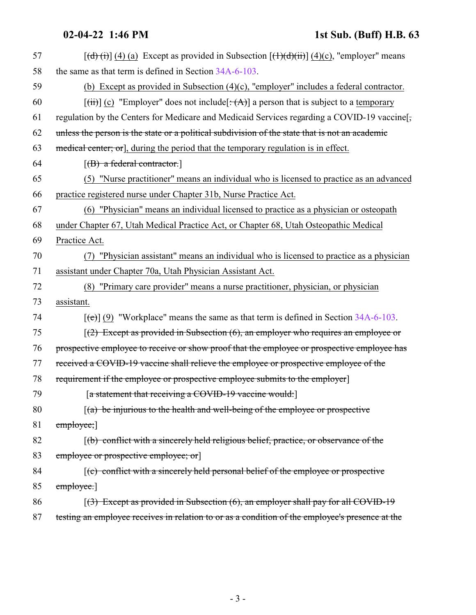| 57 | $[(d)(i)]$ (4) (a) Except as provided in Subsection $[(1)(d)(ii)]$ (4)(c), "employer" means                             |
|----|-------------------------------------------------------------------------------------------------------------------------|
| 58 | the same as that term is defined in Section 34A-6-103.                                                                  |
| 59 | (b) Except as provided in Subsection $(4)(c)$ , "employer" includes a federal contractor.                               |
| 60 | $[\overrightarrow{t})]$ (c) "Employer" does not include $[\overrightarrow{t})]$ a person that is subject to a temporary |
| 61 | regulation by the Centers for Medicare and Medicaid Services regarding a COVID-19 vaccine.                              |
| 62 | unless the person is the state or a political subdivision of the state that is not an academic                          |
| 63 | medical center; or], during the period that the temporary regulation is in effect.                                      |
| 64 | $[ B\rangle$ a federal contractor.                                                                                      |
| 65 | "Nurse practitioner" means an individual who is licensed to practice as an advanced<br>(5)                              |
| 66 | practice registered nurse under Chapter 31b, Nurse Practice Act.                                                        |
| 67 | (6) "Physician" means an individual licensed to practice as a physician or osteopath                                    |
| 68 | under Chapter 67, Utah Medical Practice Act, or Chapter 68, Utah Osteopathic Medical                                    |
| 69 | Practice Act.                                                                                                           |
| 70 | "Physician assistant" means an individual who is licensed to practice as a physician                                    |
| 71 | assistant under Chapter 70a, Utah Physician Assistant Act.                                                              |
| 72 | (8) "Primary care provider" means a nurse practitioner, physician, or physician                                         |
| 73 | assistant.                                                                                                              |
| 74 | $[\text{e}(\text{e})]$ (9) "Workplace" means the same as that term is defined in Section 34A-6-103.                     |
| 75 | $(2)$ Except as provided in Subsection (6), an employer who requires an employee or                                     |
| 76 | prospective employee to receive or show proof that the employee or prospective employee has                             |
| 77 | received a COVID-19 vaccine shall relieve the employee or prospective employee of the                                   |
| 78 | requirement if the employee or prospective employee submits to the employer                                             |
| 79 | [a statement that receiving a COVID-19 vaccine would:                                                                   |
| 80 | $(a)$ be injurious to the health and well-being of the employee or prospective                                          |
| 81 | employee;]                                                                                                              |
| 82 | $(f(b)$ conflict with a sincerely held religious belief, practice, or observance of the                                 |
| 83 | employee or prospective employee; or                                                                                    |
| 84 | $(c)$ conflict with a sincerely held personal belief of the employee or prospective                                     |
| 85 | emplovec.]                                                                                                              |
| 86 | $(3)$ Except as provided in Subsection (6), an employer shall pay for all COVID-19                                      |
| 87 | testing an employee receives in relation to or as a condition of the employee's presence at the                         |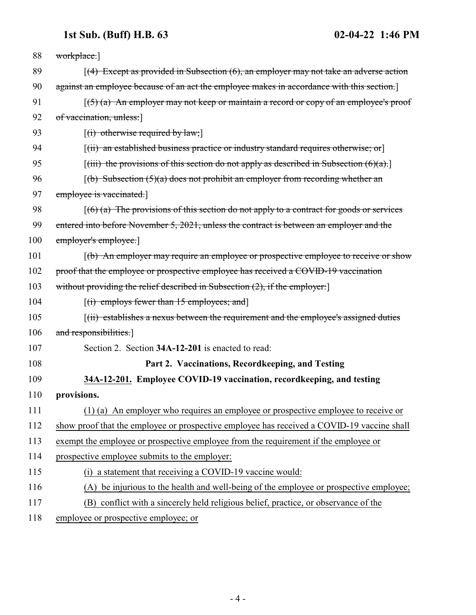### **1st Sub. (Buff) H.B. 63 02-04-22 1:46 PM**

<span id="page-3-0"></span>

| 88  | workplace.                                                                                                                                 |
|-----|--------------------------------------------------------------------------------------------------------------------------------------------|
| 89  | $(4)$ Except as provided in Subsection $(6)$ , an employer may not take an adverse action                                                  |
| 90  | against an employee because of an act the employee makes in accordance with this section.]                                                 |
| 91  | $(5)$ (a) An employer may not keep or maintain a record or copy of an employee's proof                                                     |
| 92  | of vaccination, unless:                                                                                                                    |
| 93  | $[(i)$ otherwise required by law;                                                                                                          |
| 94  | $[(ii)$ an established business practice or industry standard requires otherwise; or                                                       |
| 95  | $\left[\right(\right)$ the provisions of this section do not apply as described in Subsection $\left(\frac{\partial}{\partial x}\right)$ . |
| 96  | $(6)$ Subsection $(5)(a)$ does not prohibit an employer from recording whether an                                                          |
| 97  | employee is vaccinated.                                                                                                                    |
| 98  | $(6)$ (a) The provisions of this section do not apply to a contract for goods or services                                                  |
| 99  | entered into before November 5, 2021, unless the contract is between an employer and the                                                   |
| 100 | employer's employee.                                                                                                                       |
| 101 | $\lceil$ (b) An employer may require an employee or prospective employee to receive or show                                                |
| 102 | proof that the employee or prospective employee has received a COVID-19 vaccination                                                        |
| 103 | without providing the relief described in Subsection $(2)$ , if the employer.                                                              |
| 104 | $[(i)$ employs fewer than 15 employees; and                                                                                                |
| 105 | [(ii) establishes a nexus between the requirement and the employee's assigned duties                                                       |
| 106 | and responsibilities.]                                                                                                                     |
| 107 | Section 2. Section 34A-12-201 is enacted to read:                                                                                          |
| 108 | Part 2. Vaccinations, Recordkeeping, and Testing                                                                                           |
| 109 | 34A-12-201. Employee COVID-19 vaccination, recordkeeping, and testing                                                                      |
| 110 | provisions.                                                                                                                                |
| 111 | (1) (a) An employer who requires an employee or prospective employee to receive or                                                         |
| 112 | show proof that the employee or prospective employee has received a COVID-19 vaccine shall                                                 |
| 113 | exempt the employee or prospective employee from the requirement if the employee or                                                        |
| 114 | prospective employee submits to the employer:                                                                                              |
| 115 | (i) a statement that receiving a COVID-19 vaccine would:                                                                                   |
| 116 | (A) be injurious to the health and well-being of the employee or prospective employee;                                                     |
| 117 | (B) conflict with a sincerely held religious belief, practice, or observance of the                                                        |
| 118 | employee or prospective employee; or                                                                                                       |